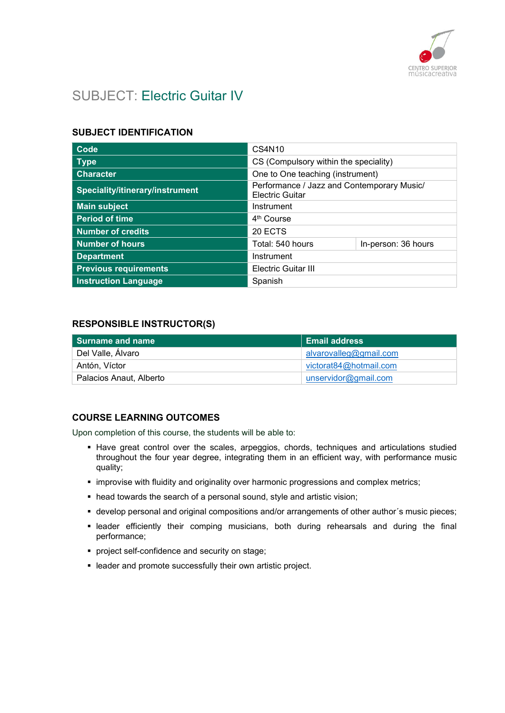

# SUBJECT: Electric Guitar IV

### SUBJECT IDENTIFICATION

| Code                            | CS4N10                                                               |                     |
|---------------------------------|----------------------------------------------------------------------|---------------------|
| <b>Type</b>                     | CS (Compulsory within the speciality)                                |                     |
| <b>Character</b>                | One to One teaching (instrument)                                     |                     |
| Speciality/itinerary/instrument | Performance / Jazz and Contemporary Music/<br><b>Electric Guitar</b> |                     |
| <b>Main subject</b>             | Instrument                                                           |                     |
| <b>Period of time</b>           | 4 <sup>th</sup> Course                                               |                     |
| Number of credits               | 20 ECTS                                                              |                     |
| <b>Number of hours</b>          | Total: 540 hours                                                     | In-person: 36 hours |
| <b>Department</b>               | Instrument                                                           |                     |
| <b>Previous requirements</b>    | <b>Electric Guitar III</b>                                           |                     |
| <b>Instruction Language</b>     | Spanish                                                              |                     |

### RESPONSIBLE INSTRUCTOR(S)

| l Surname and name      | <b>Email address</b>   |
|-------------------------|------------------------|
| Del Valle, Álvaro       | alvarovalleg@gmail.com |
| Antón, Víctor           | victorat84@hotmail.com |
| Palacios Anaut, Alberto | unservidor@gmail.com   |

### COURSE LEARNING OUTCOMES

Upon completion of this course, the students will be able to:

- Have great control over the scales, arpeggios, chords, techniques and articulations studied throughout the four year degree, integrating them in an efficient way, with performance music quality;
- **· improvise with fluidity and originality over harmonic progressions and complex metrics;**
- head towards the search of a personal sound, style and artistic vision;
- develop personal and original compositions and/or arrangements of other author´s music pieces;
- leader efficiently their comping musicians, both during rehearsals and during the final performance;
- project self-confidence and security on stage;
- **EXECTE And FRI ADDER IN ADDET** I leader and promote successfully their own artistic project.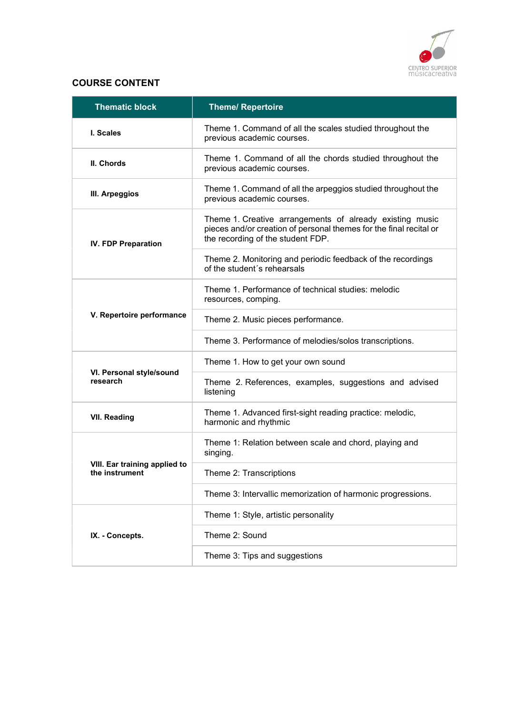

## COURSE CONTENT

| <b>Thematic block</b>                           | <b>Theme/ Repertoire</b>                                                                                                                                            |
|-------------------------------------------------|---------------------------------------------------------------------------------------------------------------------------------------------------------------------|
| I. Scales                                       | Theme 1. Command of all the scales studied throughout the<br>previous academic courses.                                                                             |
| II. Chords                                      | Theme 1. Command of all the chords studied throughout the<br>previous academic courses.                                                                             |
| III. Arpeggios                                  | Theme 1. Command of all the arpeggios studied throughout the<br>previous academic courses.                                                                          |
| <b>IV. FDP Preparation</b>                      | Theme 1. Creative arrangements of already existing music<br>pieces and/or creation of personal themes for the final recital or<br>the recording of the student FDP. |
|                                                 | Theme 2. Monitoring and periodic feedback of the recordings<br>of the student's rehearsals                                                                          |
|                                                 | Theme 1. Performance of technical studies: melodic<br>resources, comping.                                                                                           |
| V. Repertoire performance                       | Theme 2. Music pieces performance.                                                                                                                                  |
|                                                 | Theme 3. Performance of melodies/solos transcriptions.                                                                                                              |
|                                                 | Theme 1. How to get your own sound                                                                                                                                  |
| VI. Personal style/sound<br>research            | Theme 2. References, examples, suggestions and advised<br>listening                                                                                                 |
| <b>VII. Reading</b>                             | Theme 1. Advanced first-sight reading practice: melodic,<br>harmonic and rhythmic                                                                                   |
|                                                 | Theme 1: Relation between scale and chord, playing and<br>singing.                                                                                                  |
| VIII. Ear training applied to<br>the instrument | Theme 2: Transcriptions                                                                                                                                             |
|                                                 | Theme 3: Intervallic memorization of harmonic progressions.                                                                                                         |
|                                                 | Theme 1: Style, artistic personality                                                                                                                                |
| IX. - Concepts.                                 | Theme 2: Sound                                                                                                                                                      |
|                                                 | Theme 3: Tips and suggestions                                                                                                                                       |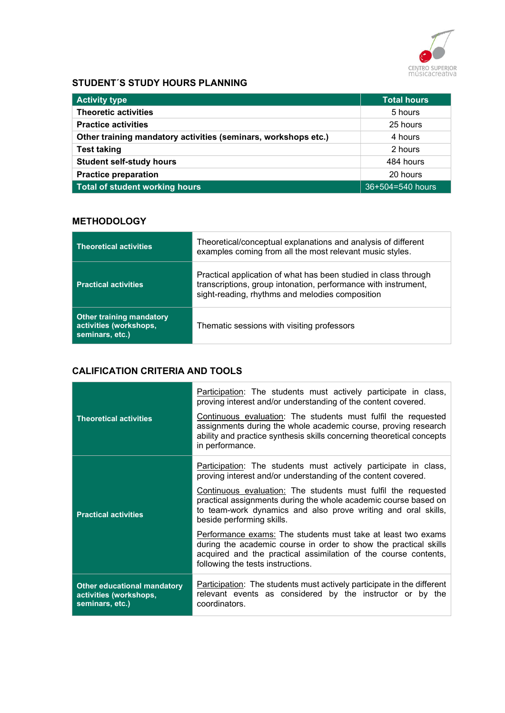

## STUDENT´S STUDY HOURS PLANNING

| <b>Activity type</b>                                           | Total hours      |
|----------------------------------------------------------------|------------------|
| <b>Theoretic activities</b>                                    | 5 hours          |
| <b>Practice activities</b>                                     | 25 hours         |
| Other training mandatory activities (seminars, workshops etc.) | 4 hours          |
| <b>Test taking</b>                                             | 2 hours          |
| <b>Student self-study hours</b>                                | 484 hours        |
| <b>Practice preparation</b>                                    | 20 hours         |
| Total of student working hours                                 | 36+504=540 hours |

## **METHODOLOGY**

| <b>Theoretical activities</b>                                                | Theoretical/conceptual explanations and analysis of different<br>examples coming from all the most relevant music styles.                                                            |
|------------------------------------------------------------------------------|--------------------------------------------------------------------------------------------------------------------------------------------------------------------------------------|
| <b>Practical activities</b>                                                  | Practical application of what has been studied in class through<br>transcriptions, group intonation, performance with instrument,<br>sight-reading, rhythms and melodies composition |
| <b>Other training mandatory</b><br>activities (workshops,<br>seminars, etc.) | Thematic sessions with visiting professors                                                                                                                                           |

## CALIFICATION CRITERIA AND TOOLS

| <b>Theoretical activities</b>                                                   | Participation: The students must actively participate in class,<br>proving interest and/or understanding of the content covered.<br>Continuous evaluation: The students must fulfil the requested<br>assignments during the whole academic course, proving research<br>ability and practice synthesis skills concerning theoretical concepts<br>in performance. |
|---------------------------------------------------------------------------------|-----------------------------------------------------------------------------------------------------------------------------------------------------------------------------------------------------------------------------------------------------------------------------------------------------------------------------------------------------------------|
|                                                                                 | Participation: The students must actively participate in class,<br>proving interest and/or understanding of the content covered.                                                                                                                                                                                                                                |
| <b>Practical activities</b>                                                     | Continuous evaluation: The students must fulfil the requested<br>practical assignments during the whole academic course based on<br>to team-work dynamics and also prove writing and oral skills,<br>beside performing skills.                                                                                                                                  |
|                                                                                 | Performance exams: The students must take at least two exams<br>during the academic course in order to show the practical skills<br>acquired and the practical assimilation of the course contents,<br>following the tests instructions.                                                                                                                        |
| <b>Other educational mandatory</b><br>activities (workshops,<br>seminars, etc.) | Participation: The students must actively participate in the different<br>relevant events as considered by the instructor or by the<br>coordinators.                                                                                                                                                                                                            |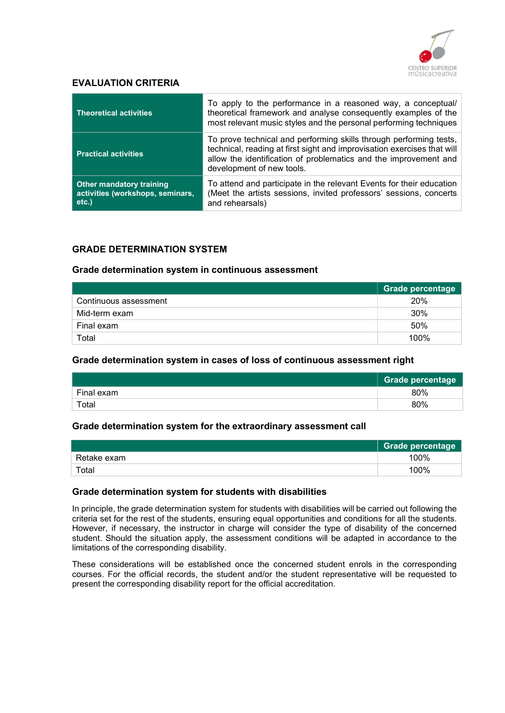

### EVALUATION CRITERIA

| <b>Theoretical activities</b>                                                   | To apply to the performance in a reasoned way, a conceptual/<br>theoretical framework and analyse consequently examples of the<br>most relevant music styles and the personal performing techniques                                            |
|---------------------------------------------------------------------------------|------------------------------------------------------------------------------------------------------------------------------------------------------------------------------------------------------------------------------------------------|
| <b>Practical activities</b>                                                     | To prove technical and performing skills through performing tests,<br>technical, reading at first sight and improvisation exercises that will<br>allow the identification of problematics and the improvement and<br>development of new tools. |
| <b>Other mandatory training</b><br>activities (workshops, seminars,<br>$etc.$ ) | To attend and participate in the relevant Events for their education<br>(Meet the artists sessions, invited professors' sessions, concerts<br>and rehearsals)                                                                                  |

#### GRADE DETERMINATION SYSTEM

#### Grade determination system in continuous assessment

|                       | Grade percentage |
|-----------------------|------------------|
| Continuous assessment | 20%              |
| Mid-term exam         | 30%              |
| Final exam            | 50%              |
| Total                 | 100%             |

#### Grade determination system in cases of loss of continuous assessment right

|            | Grade percentage |
|------------|------------------|
| Final exam | 80%              |
| Total      | 80%              |

#### Grade determination system for the extraordinary assessment call

|             | Grade percentage |
|-------------|------------------|
| Retake exam | 100%             |
| Total       | 100%             |

#### Grade determination system for students with disabilities

In principle, the grade determination system for students with disabilities will be carried out following the criteria set for the rest of the students, ensuring equal opportunities and conditions for all the students. However, if necessary, the instructor in charge will consider the type of disability of the concerned student. Should the situation apply, the assessment conditions will be adapted in accordance to the limitations of the corresponding disability.

These considerations will be established once the concerned student enrols in the corresponding courses. For the official records, the student and/or the student representative will be requested to present the corresponding disability report for the official accreditation.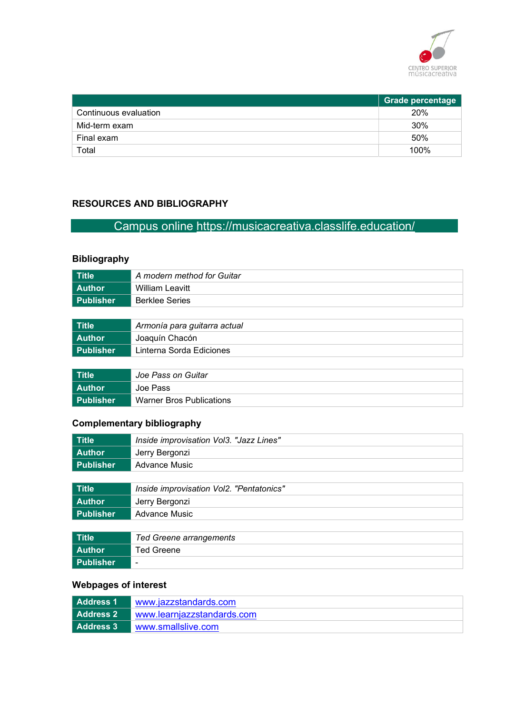

|                       | <b>Grade percentage</b> |
|-----------------------|-------------------------|
| Continuous evaluation | 20%                     |
| Mid-term exam         | 30%                     |
| Final exam            | 50%                     |
| Total                 | 100%                    |

## RESOURCES AND BIBLIOGRAPHY

## Campus online https://musicacreativa.classlife.education/

## Bibliography

| Title     | A modern method for Guitar |
|-----------|----------------------------|
| l Author  | William Leavitt            |
| Publisher | <b>Berklee Series</b>      |
|           |                            |

| Title     | Armonía para guitarra actual |  |
|-----------|------------------------------|--|
| l Author  | Joaquín Chacón               |  |
| Publisher | Linterna Sorda Ediciones     |  |

| Title <sup>1</sup> | Joe Pass on Guitar       |  |
|--------------------|--------------------------|--|
| l Author           | Joe Pass                 |  |
| l Publisher        | Warner Bros Publications |  |

## Complementary bibliography

| ∣ Title       | Inside improvisation Vol3. "Jazz Lines" |  |
|---------------|-----------------------------------------|--|
| <b>Author</b> | Jerry Bergonzi                          |  |
| Publisher     | Advance Music                           |  |
|               |                                         |  |
|               |                                         |  |

| ∣ Title     | Inside improvisation Vol2. "Pentatonics" |  |
|-------------|------------------------------------------|--|
| l Author    | Jerry Bergonzi                           |  |
| l Publisher | Advance Music                            |  |

| Title            | , Ted Greene arrangements |  |
|------------------|---------------------------|--|
| l Author         | Ted Greene                |  |
| <b>Publisher</b> | $\blacksquare$            |  |

## Webpages of interest

| Address 1        | www.jazzstandards.com      |  |
|------------------|----------------------------|--|
| <b>Address 2</b> | www.learnjazzstandards.com |  |
| l  Address 3     | www.smallslive.com         |  |